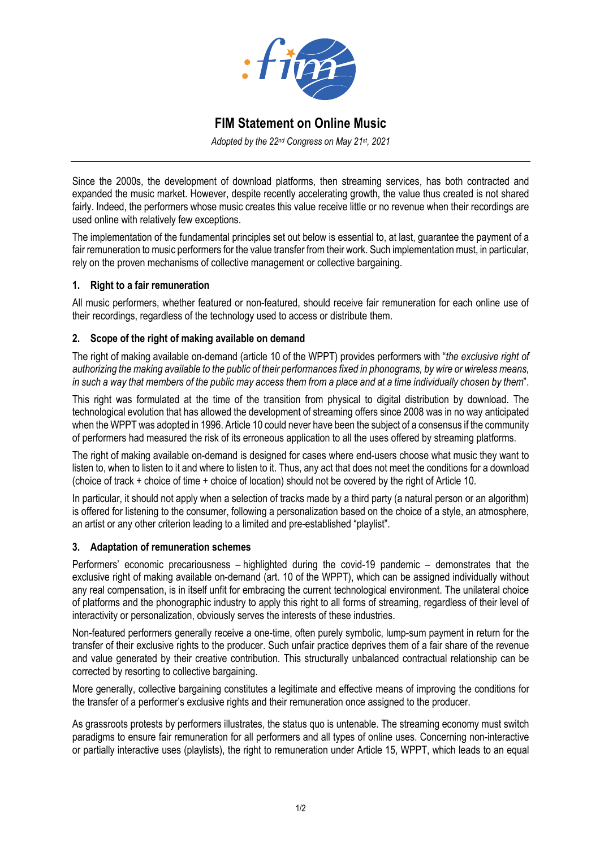

# **FIM Statement on Online Music**

*Adopted by the 22nd Congress on May 21st, 2021*

Since the 2000s, the development of download platforms, then streaming services, has both contracted and expanded the music market. However, despite recently accelerating growth, the value thus created is not shared fairly. Indeed, the performers whose music creates this value receive little or no revenue when their recordings are used online with relatively few exceptions.

The implementation of the fundamental principles set out below is essential to, at last, guarantee the payment of a fair remuneration to music performers for the value transfer from their work. Such implementation must, in particular, rely on the proven mechanisms of collective management or collective bargaining.

#### **1. Right to a fair remuneration**

All music performers, whether featured or non-featured, should receive fair remuneration for each online use of their recordings, regardless of the technology used to access or distribute them.

## **2. Scope of the right of making available on demand**

The right of making available on-demand (article 10 of the WPPT) provides performers with "*the exclusive right of authorizing the making available to the public of their performances fixed in phonograms, by wire or wireless means, in such a way that members of the public may access them from a place and at a time individually chosen by them*".

This right was formulated at the time of the transition from physical to digital distribution by download. The technological evolution that has allowed the development of streaming offers since 2008 was in no way anticipated when the WPPT was adopted in 1996. Article 10 could never have been the subject of a consensus if the community of performers had measured the risk of its erroneous application to all the uses offered by streaming platforms.

The right of making available on-demand is designed for cases where end-users choose what music they want to listen to, when to listen to it and where to listen to it. Thus, any act that does not meet the conditions for a download (choice of track + choice of time + choice of location) should not be covered by the right of Article 10.

In particular, it should not apply when a selection of tracks made by a third party (a natural person or an algorithm) is offered for listening to the consumer, following a personalization based on the choice of a style, an atmosphere, an artist or any other criterion leading to a limited and pre-established "playlist".

#### **3. Adaptation of remuneration schemes**

Performers' economic precariousness – highlighted during the covid-19 pandemic – demonstrates that the exclusive right of making available on-demand (art. 10 of the WPPT), which can be assigned individually without any real compensation, is in itself unfit for embracing the current technological environment. The unilateral choice of platforms and the phonographic industry to apply this right to all forms of streaming, regardless of their level of interactivity or personalization, obviously serves the interests of these industries.

Non-featured performers generally receive a one-time, often purely symbolic, lump-sum payment in return for the transfer of their exclusive rights to the producer. Such unfair practice deprives them of a fair share of the revenue and value generated by their creative contribution. This structurally unbalanced contractual relationship can be corrected by resorting to collective bargaining.

More generally, collective bargaining constitutes a legitimate and effective means of improving the conditions for the transfer of a performer's exclusive rights and their remuneration once assigned to the producer.

As grassroots protests by performers illustrates, the status quo is untenable. The streaming economy must switch paradigms to ensure fair remuneration for all performers and all types of online uses. Concerning non-interactive or partially interactive uses (playlists), the right to remuneration under Article 15, WPPT, which leads to an equal